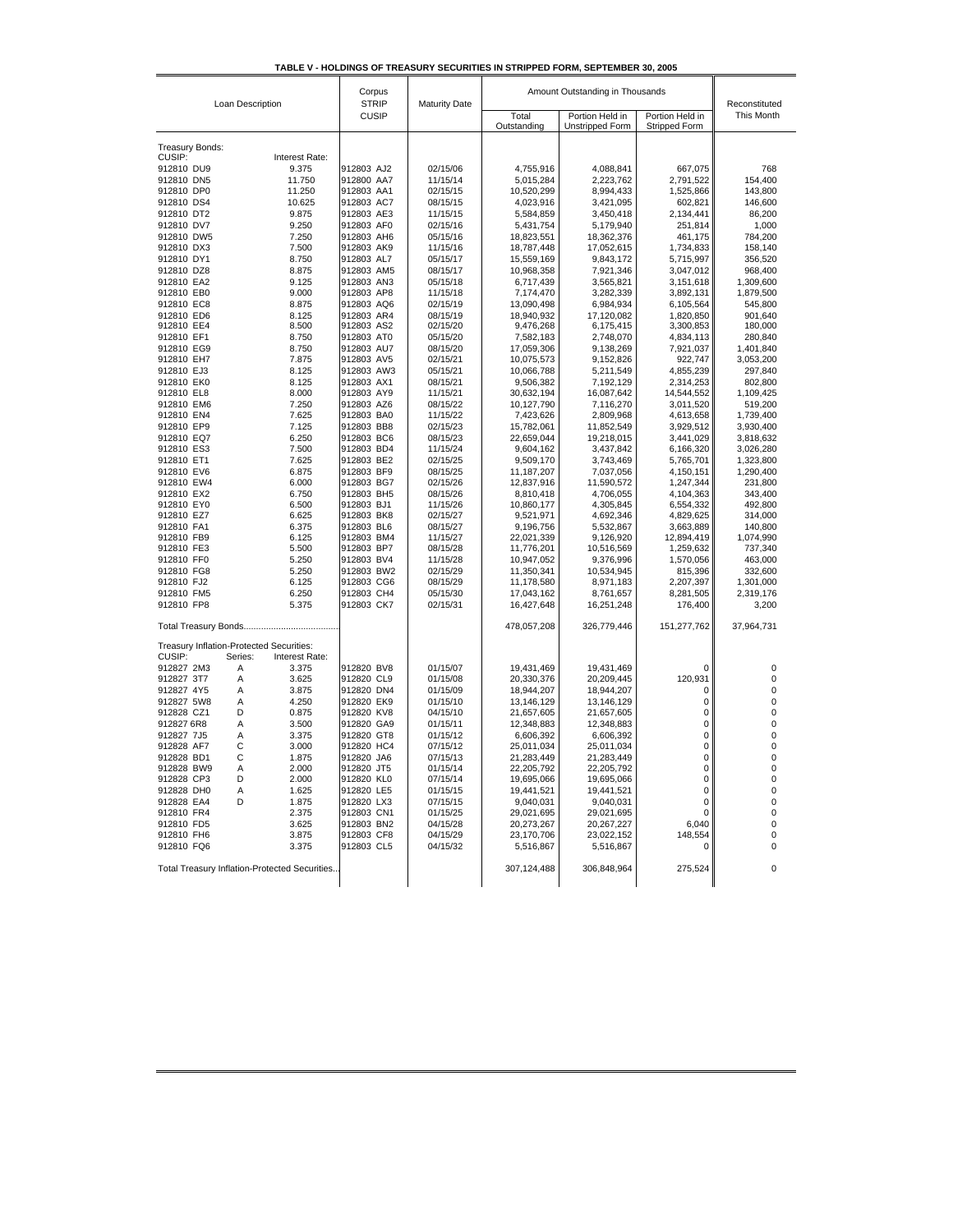| TABLE V - HOLDINGS OF TREASURY SECURITIES IN STRIPPED FORM. SEPTEMBER 30, 2005 |  |  |  |
|--------------------------------------------------------------------------------|--|--|--|
|                                                                                |  |  |  |

| Loan Description                                | Corpus<br><b>STRIP</b><br><b>Maturity Date</b> |                      | Amount Outstanding in Thousands |                                    |                                  | Reconstituted          |
|-------------------------------------------------|------------------------------------------------|----------------------|---------------------------------|------------------------------------|----------------------------------|------------------------|
|                                                 | <b>CUSIP</b>                                   |                      | Total<br>Outstanding            | Portion Held in<br>Unstripped Form | Portion Held in<br>Stripped Form | This Month             |
| Treasury Bonds:                                 |                                                |                      |                                 |                                    |                                  |                        |
| CUSIP:<br>Interest Rate:                        |                                                |                      |                                 |                                    |                                  |                        |
| 912810 DU9<br>9.375                             | 912803 AJ2                                     | 02/15/06             | 4,755,916                       | 4,088,841                          | 667,075                          | 768                    |
| 11.750<br>912810 DN5                            | 912800 AA7                                     | 11/15/14             | 5,015,284                       | 2,223,762                          | 2,791,522                        | 154,400                |
| 11.250<br>912810 DP0                            | 912803 AA1                                     | 02/15/15             | 10,520,299                      | 8,994,433                          | 1,525,866                        | 143,800                |
| 10.625<br>912810 DS4<br>912810 DT2<br>9.875     | 912803 AC7<br>912803 AE3                       | 08/15/15<br>11/15/15 | 4,023,916                       | 3,421,095                          | 602,821                          | 146,600                |
| 912810 DV7<br>9.250                             | 912803 AF0                                     | 02/15/16             | 5,584,859<br>5,431,754          | 3,450,418<br>5,179,940             | 2,134,441<br>251,814             | 86,200<br>1,000        |
| 912810 DW5<br>7.250                             | 912803 AH6                                     | 05/15/16             | 18,823,551                      | 18,362,376                         | 461,175                          | 784,200                |
| 912810 DX3<br>7.500                             | 912803 AK9                                     | 11/15/16             | 18,787,448                      | 17,052,615                         | 1,734,833                        | 158,140                |
| 912810 DY1<br>8.750                             | 912803 AL7                                     | 05/15/17             | 15,559,169                      | 9,843,172                          | 5,715,997                        | 356,520                |
| 8.875<br>912810 DZ8                             | 912803 AM5                                     | 08/15/17             | 10,968,358                      | 7,921,346                          | 3,047,012                        | 968,400                |
| 912810 EA2<br>9.125                             | 912803 AN3                                     | 05/15/18             | 6,717,439                       | 3,565,821                          | 3,151,618                        | 1,309,600              |
| 912810 EB0<br>9.000                             | 912803 AP8                                     | 11/15/18             | 7,174,470                       | 3,282,339                          | 3,892,131                        | 1,879,500              |
| 912810 EC8<br>8.875                             | 912803 AQ6                                     | 02/15/19             | 13,090,498                      | 6,984,934                          | 6,105,564                        | 545,800                |
| 912810 ED6<br>8.125                             | 912803 AR4                                     | 08/15/19             | 18,940,932                      | 17,120,082                         | 1,820,850                        | 901,640                |
| 912810 EE4<br>8.500                             | 912803 AS2                                     | 02/15/20             | 9,476,268                       | 6,175,415                          | 3,300,853                        | 180,000                |
| 912810 EF1<br>8.750                             | 912803 AT0                                     | 05/15/20             | 7,582,183                       | 2,748,070                          | 4,834,113                        | 280,840                |
| 912810 EG9<br>8.750                             | 912803 AU7                                     | 08/15/20             | 17,059,306                      | 9,138,269                          | 7,921,037                        | 1,401,840              |
| 7.875<br>912810 EH7                             | 912803 AV5                                     | 02/15/21             | 10,075,573                      | 9,152,826                          | 922,747                          | 3,053,200              |
| 912810 EJ3<br>8.125                             | 912803 AW3                                     | 05/15/21             | 10,066,788                      | 5,211,549                          | 4,855,239                        | 297,840                |
| 912810 EK0<br>8.125                             | 912803 AX1                                     | 08/15/21             | 9,506,382                       | 7,192,129                          | 2,314,253                        | 802,800                |
| 912810 EL8<br>8.000                             | 912803 AY9                                     | 11/15/21             | 30,632,194                      | 16,087,642                         | 14,544,552                       | 1,109,425              |
| 912810 EM6<br>7.250                             | 912803 AZ6                                     | 08/15/22             | 10,127,790                      | 7,116,270                          | 3,011,520                        | 519,200                |
| 7.625<br>912810 EN4<br>912810 EP9<br>7.125      | 912803 BA0<br>912803 BB8                       | 11/15/22<br>02/15/23 | 7,423,626                       | 2,809,968                          | 4,613,658                        | 1,739,400              |
| 912810 EQ7<br>6.250                             | 912803 BC6                                     | 08/15/23             | 15,782,061<br>22,659,044        | 11,852,549<br>19,218,015           | 3,929,512<br>3,441,029           | 3,930,400<br>3,818,632 |
| 912810 ES3<br>7.500                             | 912803 BD4                                     | 11/15/24             | 9,604,162                       | 3,437,842                          | 6,166,320                        | 3,026,280              |
| 912810 ET1<br>7.625                             | 912803 BE2                                     | 02/15/25             | 9,509,170                       | 3,743,469                          | 5,765,701                        | 1,323,800              |
| 6.875<br>912810 EV6                             | 912803 BF9                                     | 08/15/25             | 11,187,207                      | 7,037,056                          | 4,150,151                        | 1,290,400              |
| 6.000<br>912810 EW4                             | 912803 BG7                                     | 02/15/26             | 12,837,916                      | 11,590,572                         | 1,247,344                        | 231,800                |
| 912810 EX2<br>6.750                             | 912803 BH5                                     | 08/15/26             | 8,810,418                       | 4,706,055                          | 4,104,363                        | 343,400                |
| 6.500<br>912810 EY0                             | 912803 BJ1                                     | 11/15/26             | 10,860,177                      | 4,305,845                          | 6,554,332                        | 492,800                |
| 6.625<br>912810 EZ7                             | 912803 BK8                                     | 02/15/27             | 9,521,971                       | 4,692,346                          | 4,829,625                        | 314,000                |
| 912810 FA1<br>6.375                             | 912803 BL6                                     | 08/15/27             | 9,196,756                       | 5,532,867                          | 3,663,889                        | 140,800                |
| 6.125<br>912810 FB9                             | 912803 BM4                                     | 11/15/27             | 22,021,339                      | 9,126,920                          | 12,894,419                       | 1,074,990              |
| 912810 FE3<br>5.500                             | 912803 BP7                                     | 08/15/28             | 11,776,201                      | 10,516,569                         | 1,259,632                        | 737,340                |
| 5.250<br>912810 FF0                             | 912803 BV4                                     | 11/15/28             | 10,947,052                      | 9,376,996                          | 1,570,056                        | 463,000                |
| 912810 FG8<br>5.250                             | 912803 BW2                                     | 02/15/29             | 11,350,341                      | 10,534,945                         | 815,396                          | 332,600                |
| 912810 FJ2<br>6.125                             | 912803 CG6                                     | 08/15/29             | 11,178,580                      | 8,971,183                          | 2,207,397                        | 1,301,000              |
| 912810 FM5<br>6.250                             | 912803 CH4                                     | 05/15/30             | 17,043,162                      | 8,761,657                          | 8,281,505                        | 2,319,176              |
| 912810 FP8<br>5.375                             | 912803 CK7                                     | 02/15/31             | 16,427,648                      | 16,251,248                         | 176,400                          | 3,200                  |
|                                                 |                                                |                      | 478,057,208                     | 326,779,446                        | 151,277,762                      | 37,964,731             |
| Treasury Inflation-Protected Securities:        |                                                |                      |                                 |                                    |                                  |                        |
| CUSIP:<br>Series:<br>Interest Rate:             |                                                |                      |                                 |                                    |                                  |                        |
| 912827 2M3<br>Α<br>3.375                        | 912820 BV8                                     | 01/15/07             | 19,431,469                      | 19,431,469                         | 0                                | 0                      |
| Α<br>3.625<br>912827 3T7                        | 912820 CL9                                     | 01/15/08             | 20,330,376                      | 20,209,445                         | 120,931                          | 0                      |
| 3.875<br>912827 4Y5<br>Α                        | 912820 DN4                                     | 01/15/09             | 18,944,207                      | 18,944,207                         | 0                                | 0                      |
| 912827 5W8<br>Α<br>4.250                        | 912820 EK9                                     | 01/15/10             | 13,146,129                      | 13,146,129                         | 0                                | 0                      |
| D<br>912828 CZ1<br>0.875                        | 912820 KV8                                     | 04/15/10             | 21,657,605                      | 21,657,605                         | 0                                | 0                      |
| 912827 6R8<br>Α<br>3.500<br>Α                   | 912820 GA9<br>912820 GT8                       | 01/15/11             | 12,348,883                      | 12,348,883                         | 0<br>0                           | 0<br>0                 |
| 912827 7J5<br>3.375<br>С<br>3.000<br>912828 AF7 | 912820 HC4                                     | 01/15/12             | 6,606,392                       | 6,606,392                          | 0                                | 0                      |
| С<br>912828 BD1<br>1.875                        | 912820 JA6                                     | 07/15/12<br>07/15/13 | 25,011,034<br>21.283.449        | 25,011,034<br>21,283,449           | 0                                | 0                      |
| A<br>912828 BW9<br>2.000                        | 912820 JT5                                     | 01/15/14             | 22,205,792                      | 22,205,792                         | 0                                | 0                      |
| 912828 CP3<br>D<br>2.000                        | 912820 KL0                                     | 07/15/14             | 19,695,066                      | 19,695,066                         | 0                                | 0                      |
| 912828 DH0<br>Α<br>1.625                        | 912820 LE5                                     | 01/15/15             | 19,441,521                      | 19,441,521                         | 0                                | 0                      |
| 1.875<br>912828 EA4<br>D                        | 912820 LX3                                     | 07/15/15             | 9,040,031                       | 9,040,031                          | 0                                | 0                      |
| 2.375<br>912810 FR4                             | 912803 CN1                                     | 01/15/25             | 29,021,695                      | 29,021,695                         | 0                                | 0                      |
| 912810 FD5<br>3.625                             | 912803 BN2                                     | 04/15/28             | 20,273,267                      | 20,267,227                         | 6,040                            | 0                      |
| 912810 FH6<br>3.875                             | 912803 CF8                                     | 04/15/29             | 23,170,706                      | 23,022,152                         | 148,554                          | 0                      |
| 912810 FQ6<br>3.375                             | 912803 CL5                                     | 04/15/32             | 5,516,867                       | 5,516,867                          | 0                                | 0                      |
| Total Treasury Inflation-Protected Securities   |                                                |                      | 307,124,488                     | 306,848,964                        | 275,524                          | $\mathbf 0$            |
|                                                 |                                                |                      |                                 |                                    |                                  |                        |